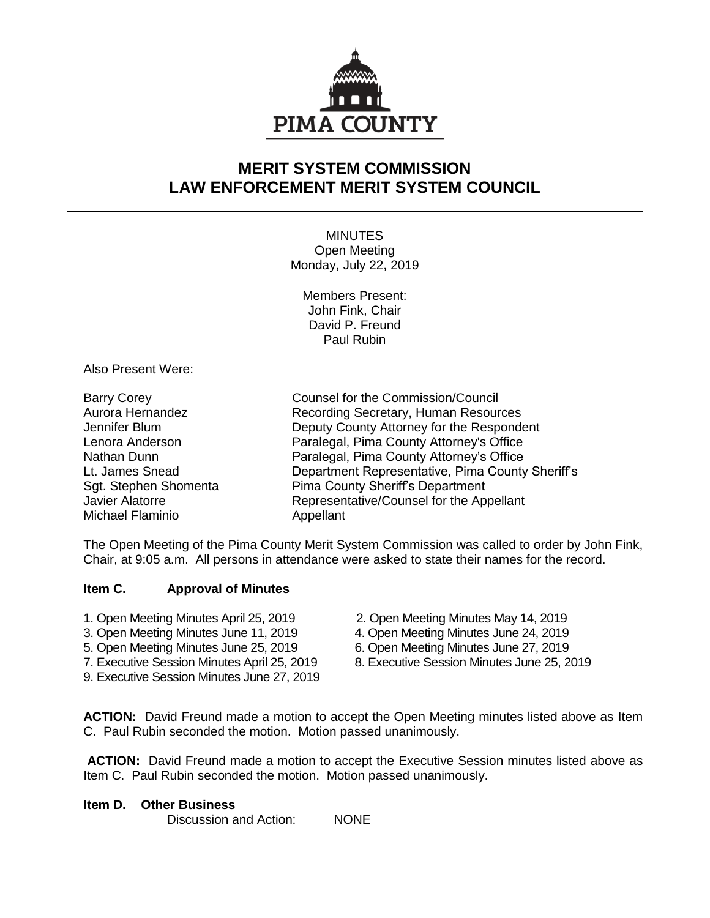

# **MERIT SYSTEM COMMISSION LAW ENFORCEMENT MERIT SYSTEM COUNCIL**

**MINUTES** Open Meeting Monday, July 22, 2019

Members Present: John Fink, Chair David P. Freund Paul Rubin

Also Present Were:

Michael Flaminio **Appellant** 

Barry Corey **Counsel for the Commission/Council** Aurora Hernandez Recording Secretary, Human Resources Jennifer Blum Deputy County Attorney for the Respondent Lenora Anderson Paralegal, Pima County Attorney's Office Nathan Dunn **Paralegal, Pima County Attorney's Office** Lt. James Snead Department Representative, Pima County Sheriff's Sgt. Stephen Shomenta<br>
Javier Alatorre **Prophetic Stephen Sheriff's Department**<br>
Representative/Counsel for the Ap Representative/Counsel for the Appellant

The Open Meeting of the Pima County Merit System Commission was called to order by John Fink, Chair, at 9:05 a.m. All persons in attendance were asked to state their names for the record.

## **Item C. Approval of Minutes**

- 
- 3. Open Meeting Minutes June 11, 2019
- 5. Open Meeting Minutes June 25, 2019 6. Open Meeting Minutes June 27, 2019
- 
- 9. Executive Session Minutes June 27, 2019
- 
- 1. Open Meeting Minutes April 25, 2019 <br>3. Open Meeting Minutes June 11, 2019 <br>4. Open Meeting Minutes June 11, 2019 <br>3. Open Meeting Minutes June 11, 2019
	-
- 7. Executive Session Minutes April 25, 2019 8. Executive Session Minutes June 25, 2019

**ACTION:** David Freund made a motion to accept the Open Meeting minutes listed above as Item C. Paul Rubin seconded the motion. Motion passed unanimously.

**ACTION:** David Freund made a motion to accept the Executive Session minutes listed above as Item C. Paul Rubin seconded the motion. Motion passed unanimously.

### **Item D. Other Business**

Discussion and Action: NONE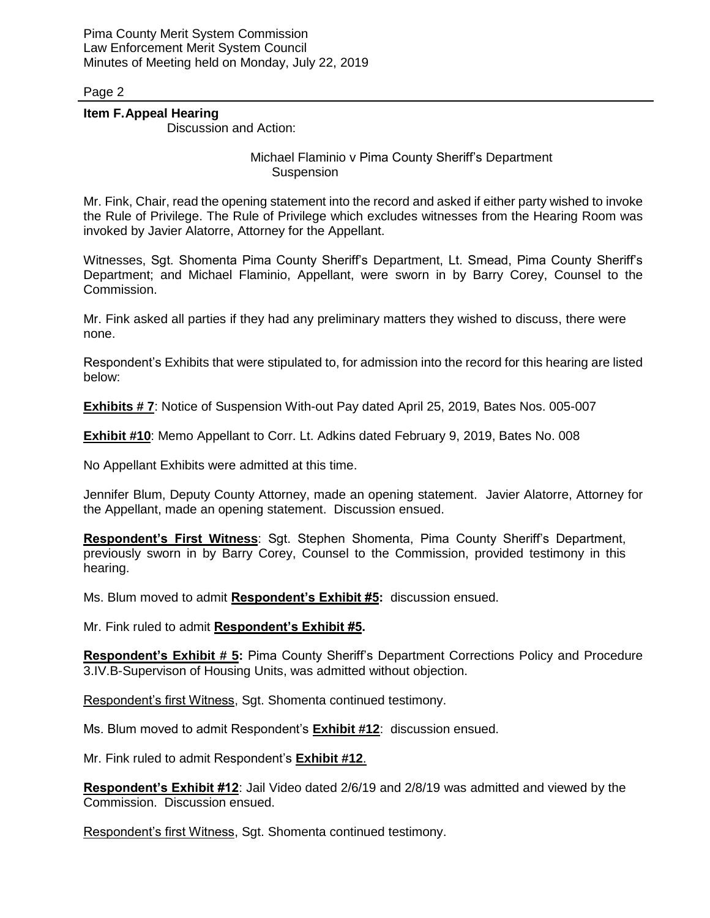Pima County Merit System Commission Law Enforcement Merit System Council Minutes of Meeting held on Monday, July 22, 2019

Page 2

## **Item F.Appeal Hearing**

Discussion and Action:

Michael Flaminio v Pima County Sheriff's Department **Suspension** 

Mr. Fink, Chair, read the opening statement into the record and asked if either party wished to invoke the Rule of Privilege. The Rule of Privilege which excludes witnesses from the Hearing Room was invoked by Javier Alatorre, Attorney for the Appellant.

Witnesses, Sgt. Shomenta Pima County Sheriff's Department, Lt. Smead, Pima County Sheriff's Department; and Michael Flaminio, Appellant, were sworn in by Barry Corey, Counsel to the Commission.

Mr. Fink asked all parties if they had any preliminary matters they wished to discuss, there were none.

Respondent's Exhibits that were stipulated to, for admission into the record for this hearing are listed below:

**Exhibits # 7**: Notice of Suspension With-out Pay dated April 25, 2019, Bates Nos. 005-007

**Exhibit #10**: Memo Appellant to Corr. Lt. Adkins dated February 9, 2019, Bates No. 008

No Appellant Exhibits were admitted at this time.

Jennifer Blum, Deputy County Attorney, made an opening statement. Javier Alatorre, Attorney for the Appellant, made an opening statement. Discussion ensued.

**Respondent's First Witness**: Sgt. Stephen Shomenta, Pima County Sheriff's Department, previously sworn in by Barry Corey, Counsel to the Commission, provided testimony in this hearing.

Ms. Blum moved to admit **Respondent's Exhibit #5:** discussion ensued.

Mr. Fink ruled to admit **Respondent's Exhibit #5.**

**Respondent's Exhibit # 5:** Pima County Sheriff's Department Corrections Policy and Procedure 3.IV.B-Supervison of Housing Units, was admitted without objection.

Respondent's first Witness, Sgt. Shomenta continued testimony.

Ms. Blum moved to admit Respondent's **Exhibit #12**: discussion ensued.

Mr. Fink ruled to admit Respondent's **Exhibit #12**.

**Respondent's Exhibit #12**: Jail Video dated 2/6/19 and 2/8/19 was admitted and viewed by the Commission. Discussion ensued.

Respondent's first Witness, Sgt. Shomenta continued testimony.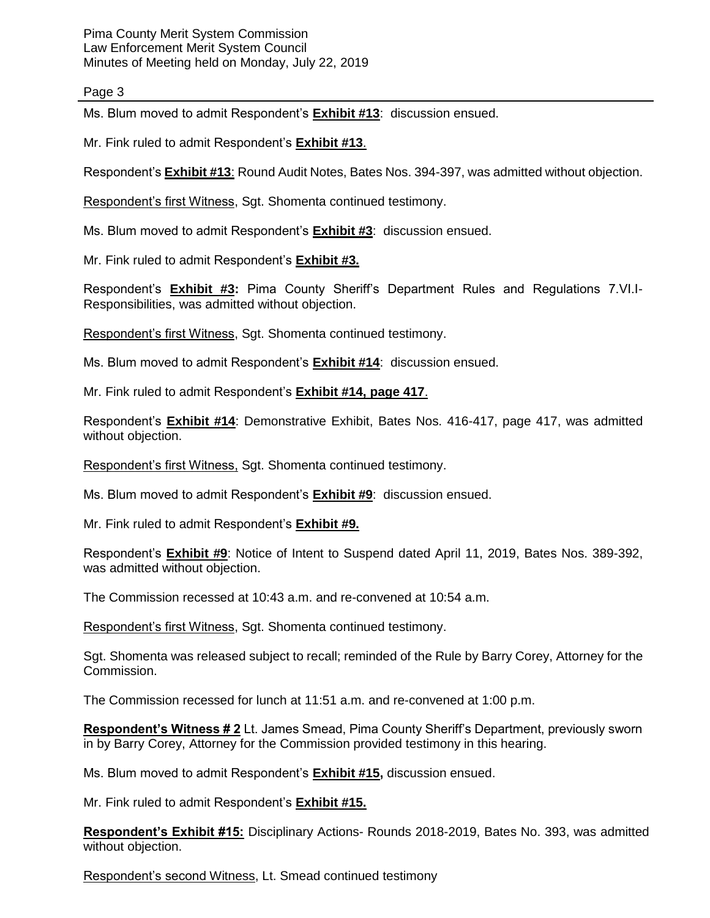Pima County Merit System Commission Law Enforcement Merit System Council Minutes of Meeting held on Monday, July 22, 2019

Page 3

Ms. Blum moved to admit Respondent's **Exhibit #13**: discussion ensued.

Mr. Fink ruled to admit Respondent's **Exhibit #13**.

Respondent's **Exhibit #13**: Round Audit Notes, Bates Nos. 394-397, was admitted without objection.

Respondent's first Witness, Sgt. Shomenta continued testimony.

Ms. Blum moved to admit Respondent's **Exhibit #3**: discussion ensued.

Mr. Fink ruled to admit Respondent's **Exhibit #3.**

Respondent's **Exhibit #3:** Pima County Sheriff's Department Rules and Regulations 7.VI.I-Responsibilities, was admitted without objection.

Respondent's first Witness, Sgt. Shomenta continued testimony.

Ms. Blum moved to admit Respondent's **Exhibit #14**: discussion ensued.

Mr. Fink ruled to admit Respondent's **Exhibit #14, page 417**.

Respondent's **Exhibit #14**: Demonstrative Exhibit, Bates Nos. 416-417, page 417, was admitted without objection.

Respondent's first Witness, Sgt. Shomenta continued testimony.

Ms. Blum moved to admit Respondent's **Exhibit #9**: discussion ensued.

Mr. Fink ruled to admit Respondent's **Exhibit #9.**

Respondent's **Exhibit #9**: Notice of Intent to Suspend dated April 11, 2019, Bates Nos. 389-392, was admitted without objection.

The Commission recessed at 10:43 a.m. and re-convened at 10:54 a.m.

Respondent's first Witness, Sgt. Shomenta continued testimony.

Sgt. Shomenta was released subject to recall; reminded of the Rule by Barry Corey, Attorney for the Commission.

The Commission recessed for lunch at 11:51 a.m. and re-convened at 1:00 p.m.

**Respondent's Witness # 2** Lt. James Smead, Pima County Sheriff's Department, previously sworn in by Barry Corey, Attorney for the Commission provided testimony in this hearing.

Ms. Blum moved to admit Respondent's **Exhibit #15,** discussion ensued.

Mr. Fink ruled to admit Respondent's **Exhibit #15.**

**Respondent's Exhibit #15:** Disciplinary Actions- Rounds 2018-2019, Bates No. 393, was admitted without objection.

Respondent's second Witness, Lt. Smead continued testimony